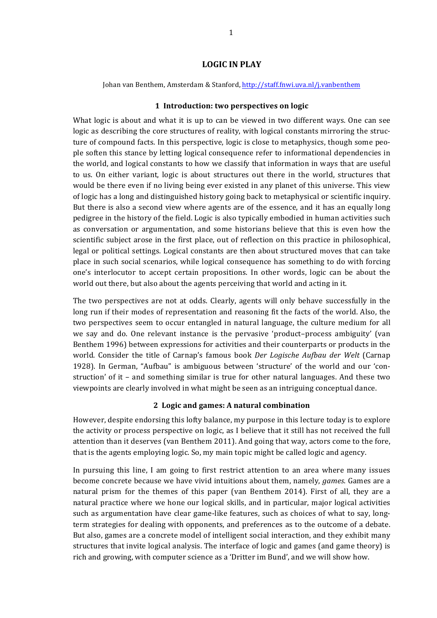### **LOGIC IN PLAY**

Johan van Benthem, Amsterdam & Stanford, http://staff.fnwi.uva.nl/j.vanbenthem

### **1 Introduction: two perspectives on logic**

What logic is about and what it is up to can be viewed in two different ways. One can see logic as describing the core structures of reality, with logical constants mirroring the structure of compound facts. In this perspective, logic is close to metaphysics, though some people soften this stance by letting logical consequence refer to informational dependencies in the world, and logical constants to how we classify that information in ways that are useful to us. On either variant, logic is about structures out there in the world, structures that would be there even if no living being ever existed in any planet of this universe. This view of logic has a long and distinguished history going back to metaphysical or scientific inquiry. But there is also a second view where agents are of the essence, and it has an equally long pedigree in the history of the field. Logic is also typically embodied in human activities such as conversation or argumentation, and some historians believe that this is even how the scientific subject arose in the first place, out of reflection on this practice in philosophical, legal or political settings. Logical constants are then about structured moves that can take place in such social scenarios, while logical consequence has something to do with forcing one's interlocutor to accept certain propositions. In other words, logic can be about the world out there, but also about the agents perceiving that world and acting in it.

The two perspectives are not at odds. Clearly, agents will only behave successfully in the long run if their modes of representation and reasoning fit the facts of the world. Also, the two perspectives seem to occur entangled in natural language, the culture medium for all we say and do. One relevant instance is the pervasive 'product–process ambiguity' (van Benthem 1996) between expressions for activities and their counterparts or products in the world. Consider the title of Carnap's famous book *Der Logische Aufbau der Welt* (Carnap 1928). In German, "Aufbau" is ambiguous between 'structure' of the world and our 'construction' of it - and something similar is true for other natural languages. And these two viewpoints are clearly involved in what might be seen as an intriguing conceptual dance.

## **2 Logic and games: A natural combination**

However, despite endorsing this lofty balance, my purpose in this lecture today is to explore the activity or process perspective on logic, as I believe that it still has not received the full attention than it deserves (van Benthem 2011). And going that way, actors come to the fore, that is the agents employing logic. So, my main topic might be called logic and agency.

In pursuing this line, I am going to first restrict attention to an area where many issues become concrete because we have vivid intuitions about them, namely, *games*. Games are a natural prism for the themes of this paper (van Benthem 2014). First of all, they are a natural practice where we hone our logical skills, and in particular, major logical activities such as argumentation have clear game-like features, such as choices of what to say, longterm strategies for dealing with opponents, and preferences as to the outcome of a debate. But also, games are a concrete model of intelligent social interaction, and they exhibit many structures that invite logical analysis. The interface of logic and games (and game theory) is rich and growing, with computer science as a 'Dritter im Bund', and we will show how.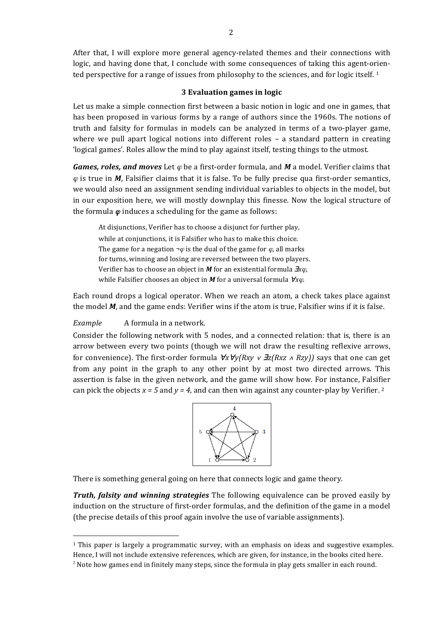After that, I will explore more general agency-related themes and their connections with logic, and having done that, I conclude with some consequences of taking this agent-oriented perspective for a range of issues from philosophy to the sciences, and for logic itself. 1

### **3 Evaluation games in logic**

Let us make a simple connection first between a basic notion in logic and one in games, that has been proposed in various forms by a range of authors since the 1960s. The notions of truth and falsity for formulas in models can be analyzed in terms of a two-player game, where we pull apart logical notions into different roles - a standard pattern in creating logical games'. Roles allow the mind to play against itself, testing things to the utmost.

*Games, roles, and moves* Let  $\varphi$  be a first-order formula, and *M* a model. Verifier claims that  $\varphi$  is true in *M*, Falsifier claims that it is false. To be fully precise qua first-order semantics, we would also need an assignment sending individual variables to objects in the model, but in our exposition here, we will mostly downplay this finesse. Now the logical structure of the formula  $\varphi$  induces a scheduling for the game as follows:

At disjunctions, Verifier has to choose a disjunct for further play, while at conjunctions, it is Falsifier who has to make this choice. The game for a negation  $\neg \varphi$  is the dual of the game for  $\varphi$ , all marks for turns, winning and losing are reversed between the two players. Verifier has to choose an object in *M* for an existential formula **∃***xϕ*, while Falsifier chooses an object in *M* for a universal formula *∀xϕ*.

Each round drops a logical operator. When we reach an atom, a check takes place against the model  $M$ , and the game ends: Verifier wins if the atom is true, Falsifier wins if it is false.

*Example* A formula in a network.

 $\overline{a}$ 

Consider the following network with 5 nodes, and a connected relation: that is, there is an arrow between every two points (though we will not draw the resulting reflexive arrows, for convenience). The first-order formula  $\forall x \forall y(Rxy \lor \exists z(Rxz \land Rzy))$  says that one can get from any point in the graph to any other point by at most two directed arrows. This assertion is false in the given network, and the game will show how. For instance, Falsifier can pick the objects  $x = 5$  and  $y = 4$ , and can then win against any counter-play by Verifier. 2



There is something general going on here that connects logic and game theory.

*Truth, falsity and winning strategies* The following equivalence can be proved easily by induction on the structure of first-order formulas, and the definition of the game in a model (the precise details of this proof again involve the use of variable assignments).

 $1$  This paper is largely a programmatic survey, with an emphasis on ideas and suggestive examples. Hence, I will not include extensive references, which are given, for instance, in the books cited here.

 $<sup>2</sup>$  Note how games end in finitely many steps, since the formula in play gets smaller in each round.</sup>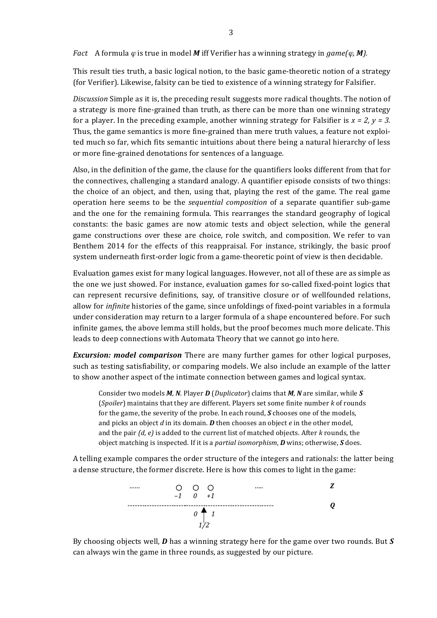*Fact* A formula  $\varphi$  is true in model M iff Verifier has a winning strategy in game( $\varphi$ , **M**).

This result ties truth, a basic logical notion, to the basic game-theoretic notion of a strategy (for Verifier). Likewise, falsity can be tied to existence of a winning strategy for Falsifier.

*Discussion* Simple as it is, the preceding result suggests more radical thoughts. The notion of a strategy is more fine-grained than truth, as there can be more than one winning strategy for a player. In the preceding example, another winning strategy for Falsifier is  $x = 2$ ,  $y = 3$ . Thus, the game semantics is more fine-grained than mere truth values, a feature not exploited much so far, which fits semantic intuitions about there being a natural hierarchy of less or more fine-grained denotations for sentences of a language.

Also, in the definition of the game, the clause for the quantifiers looks different from that for the connectives, challenging a standard analogy. A quantifier episode consists of two things: the choice of an object, and then, using that, playing the rest of the game. The real game operation here seems to be the *sequential composition* of a separate quantifier sub-game and the one for the remaining formula. This rearranges the standard geography of logical constants: the basic games are now atomic tests and object selection, while the general game constructions over these are choice, role switch, and composition. We refer to van Benthem 2014 for the effects of this reappraisal. For instance, strikingly, the basic proof system underneath first-order logic from a game-theoretic point of view is then decidable.

Evaluation games exist for many logical languages. However, not all of these are as simple as the one we just showed. For instance, evaluation games for so-called fixed-point logics that can represent recursive definitions, say, of transitive closure or of wellfounded relations, allow for *infinite* histories of the game, since unfoldings of fixed-point variables in a formula under consideration may return to a larger formula of a shape encountered before. For such infinite games, the above lemma still holds, but the proof becomes much more delicate. This leads to deep connections with Automata Theory that we cannot go into here.

*Excursion:* model comparison There are many further games for other logical purposes, such as testing satisfiability, or comparing models. We also include an example of the latter to show another aspect of the intimate connection between games and logical syntax.

Consider two models *M*, *N*. Player *D* (*Duplicator*) claims that *M*, *N* are similar, while *S* (*Spoiler*) maintains that they are different. Players set some finite number *k* of rounds for the game, the severity of the probe. In each round, *S* chooses one of the models, and picks an object  $d$  in its domain.  $D$  then chooses an object  $e$  in the other model, and the pair *(d, e)* is added to the current list of matched objects. After *k* rounds, the object matching is inspected. If it is a *partial isomorphism*, *D* wins; otherwise, *S* does.

A telling example compares the order structure of the integers and rationals: the latter being a dense structure, the former discrete. Here is how this comes to light in the game:



By choosing objects well,  $\bm{D}$  has a winning strategy here for the game over two rounds. But  $\bm{S}$ can always win the game in three rounds, as suggested by our picture.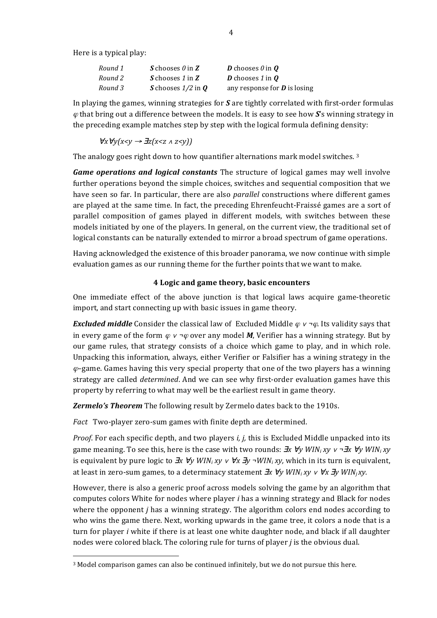Here is a typical play:

 $\overline{a}$ 

| Round 1 | S chooses $\theta$ in Z | <b>D</b> chooses $\theta$ in $\boldsymbol{0}$ |  |
|---------|-------------------------|-----------------------------------------------|--|
| Round 2 | S chooses 1 in Z        | <b>D</b> chooses 1 in $\boldsymbol{0}$        |  |
| Round 3 | S chooses $1/2$ in Q    | any response for $D$ is losing                |  |

In playing the games, winning strategies for S are tightly correlated with first-order formulas  $\varphi$  that bring out a difference between the models. It is easy to see how  $\boldsymbol{S}$ 's winning strategy in the preceding example matches step by step with the logical formula defining density:

 $\forall x \forall y(x \leq y \rightarrow \exists z(x \leq z \land z \leq y))$ 

The analogy goes right down to how quantifier alternations mark model switches.  $3$ 

*Game operations and logical constants* The structure of logical games may well involve further operations beyond the simple choices, switches and sequential composition that we have seen so far. In particular, there are also *parallel* constructions where different games are played at the same time. In fact, the preceding Ehrenfeucht-Fraissé games are a sort of parallel composition of games played in different models, with switches between these models initiated by one of the players. In general, on the current view, the traditional set of logical constants can be naturally extended to mirror a broad spectrum of game operations.

Having acknowledged the existence of this broader panorama, we now continue with simple evaluation games as our running theme for the further points that we want to make.

### **4 Logic and game theory, basic encounters**

One immediate effect of the above junction is that logical laws acquire game-theoretic import, and start connecting up with basic issues in game theory.

*Excluded middle* Consider the classical law of Excluded Middle  $\varphi \vee \neg \varphi$ . Its validity says that in every game of the form  $\varphi$  *ν ¬* $\varphi$  over any model *M*. Verifier has a winning strategy. But by our game rules, that strategy consists of a choice which game to play, and in which role. Unpacking this information, always, either Verifier or Falsifier has a wining strategy in the  $\varphi$ –game. Games having this very special property that one of the two players has a winning strategy are called *determined*. And we can see why first-order evaluation games have this property by referring to what may well be the earliest result in game theory.

*Zermelo's Theorem* The following result by Zermelo dates back to the 1910s.

*Fact* Two-player zero-sum games with finite depth are determined.

*Proof.* For each specific depth, and two players *i, j,* this is Excluded Middle unpacked into its game meaning. To see this, here is the case with two rounds:  $\exists x \forall y \text{ } WIN_i xy \vee \neg \exists x \forall y \text{ } WIN_i xy$ is equivalent by pure logic to  $\exists x \forall y$  *WIN<sub>i</sub>*  $xy \vee \forall x \exists y \neg WIN_i xy$ , which in its turn is equivalent, at least in zero-sum games, to a determinacy statement  $\exists x \forall y \ WIN_i xy \lor \forall x \exists y \ WIN_i xy$ .

However, there is also a generic proof across models solving the game by an algorithm that computes colors White for nodes where player *i* has a winning strategy and Black for nodes where the opponent *j* has a winning strategy. The algorithm colors end nodes according to who wins the game there. Next, working upwards in the game tree, it colors a node that is a turn for player *i* white if there is at least one white daughter node, and black if all daughter nodes were colored black. The coloring rule for turns of player *j* is the obvious dual.

<sup>&</sup>lt;sup>3</sup> Model comparison games can also be continued infinitely, but we do not pursue this here.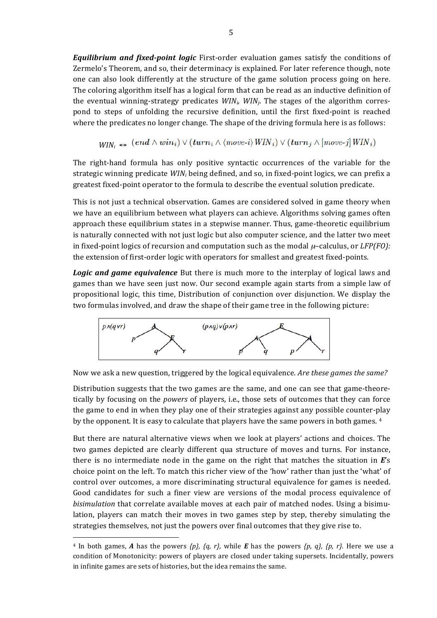*Equilibrium and fixed-point logic* First-order evaluation games satisfy the conditions of Zermelo's Theorem, and so, their determinacy is explained. For later reference though, note one can also look differently at the structure of the game solution process going on here. The coloring algorithm itself has a logical form that can be read as an inductive definition of the eventual winning-strategy predicates  $WIN_i$ ,  $WIN_j$ . The stages of the algorithm correspond to steps of unfolding the recursive definition, until the first fixed-point is reached where the predicates no longer change. The shape of the driving formula here is as follows:

 $WIN_i \Leftrightarrow \ (end \wedge win_i) \vee (turn_i \wedge \langle move-i \rangle WIN_i) \vee (turn_j \wedge [move-j] WIN_i)$ 

The right-hand formula has only positive syntactic occurrences of the variable for the strategic winning predicate  $WIN_i$  being defined, and so, in fixed-point logics, we can prefix a greatest fixed-point operator to the formula to describe the eventual solution predicate.

This is not just a technical observation. Games are considered solved in game theory when we have an equilibrium between what players can achieve. Algorithms solving games often approach these equilibrium states in a stepwise manner. Thus, game-theoretic equilibrium is naturally connected with not just logic but also computer science, and the latter two meet in fixed-point logics of recursion and computation such as the modal  $\mu$ –calculus, or *LFP(FO):* the extension of first-order logic with operators for smallest and greatest fixed-points.

**Logic** and game equivalence But there is much more to the interplay of logical laws and games than we have seen just now. Our second example again starts from a simple law of propositional logic, this time, Distribution of conjunction over disjunction. We display the two formulas involved, and draw the shape of their game tree in the following picture:



Now we ask a new question, triggered by the logical equivalence. *Are these games the same?* 

Distribution suggests that the two games are the same, and one can see that game-theoretically by focusing on the *powers* of players, i.e., those sets of outcomes that they can force the game to end in when they play one of their strategies against any possible counter-play by the opponent. It is easy to calculate that players have the same powers in both games. <sup>4</sup>

But there are natural alternative views when we look at players' actions and choices. The two games depicted are clearly different qua structure of moves and turns. For instance, there is no intermediate node in the game on the right that matches the situation in  $E$ 's choice point on the left. To match this richer view of the 'how' rather than just the 'what' of control over outcomes, a more discriminating structural equivalence for games is needed. Good candidates for such a finer view are versions of the modal process equivalence of *bisimulation* that correlate available moves at each pair of matched nodes. Using a bisimulation, players can match their moves in two games step by step, thereby simulating the strategies themselves, not just the powers over final outcomes that they give rise to.

<sup>&</sup>lt;sup>4</sup> In both games, *A* has the powers  $\{p_i\}$ ,  $\{q_i\}$ , while *E* has the powers  $\{p_i\}$ ,  $\{p_i\}$ ,  $\{p_i\}$ . Here we use a condition of Monotonicity: powers of players are closed under taking supersets. Incidentally, powers in infinite games are sets of histories, but the idea remains the same.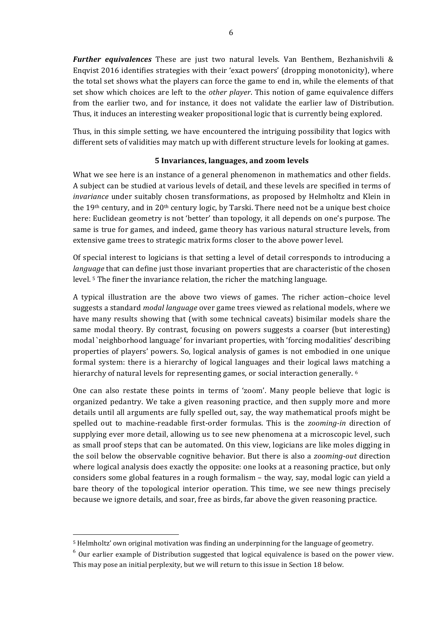**Further equivalences** These are just two natural levels. Van Benthem, Bezhanishvili & Enqvist  $2016$  identifies strategies with their 'exact powers' (dropping monotonicity), where the total set shows what the players can force the game to end in, while the elements of that set show which choices are left to the *other player*. This notion of game equivalence differs from the earlier two, and for instance, it does not validate the earlier law of Distribution. Thus, it induces an interesting weaker propositional logic that is currently being explored.

Thus, in this simple setting, we have encountered the intriguing possibility that logics with different sets of validities may match up with different structure levels for looking at games.

### **5 Invariances, languages, and zoom levels**

What we see here is an instance of a general phenomenon in mathematics and other fields. A subject can be studied at various levels of detail, and these levels are specified in terms of *invariance* under suitably chosen transformations, as proposed by Helmholtz and Klein in the 19<sup>th</sup> century, and in 20<sup>th</sup> century logic, by Tarski. There need not be a unique best choice here: Euclidean geometry is not 'better' than topology, it all depends on one's purpose. The same is true for games, and indeed, game theory has various natural structure levels, from extensive game trees to strategic matrix forms closer to the above power level.

Of special interest to logicians is that setting a level of detail corresponds to introducing a *language* that can define just those invariant properties that are characteristic of the chosen level.<sup>5</sup> The finer the invariance relation, the richer the matching language.

A typical illustration are the above two views of games. The richer action–choice level suggests a standard *modal language* over game trees viewed as relational models, where we have many results showing that (with some technical caveats) bisimilar models share the same modal theory. By contrast, focusing on powers suggests a coarser (but interesting) modal `neighborhood language' for invariant properties, with 'forcing modalities' describing properties of players' powers. So, logical analysis of games is not embodied in one unique formal system: there is a hierarchy of logical languages and their logical laws matching a hierarchy of natural levels for representing games, or social interaction generally.  $6$ 

One can also restate these points in terms of 'zoom'. Many people believe that logic is organized pedantry. We take a given reasoning practice, and then supply more and more details until all arguments are fully spelled out, say, the way mathematical proofs might be spelled out to machine-readable first-order formulas. This is the *zooming-in* direction of supplying ever more detail, allowing us to see new phenomena at a microscopic level, such as small proof steps that can be automated. On this view, logicians are like moles digging in the soil below the observable cognitive behavior. But there is also a *zooming-out* direction where logical analysis does exactly the opposite: one looks at a reasoning practice, but only considers some global features in a rough formalism – the way, say, modal logic can yield a bare theory of the topological interior operation. This time, we see new things precisely because we ignore details, and soar, free as birds, far above the given reasoning practice.

<sup>&</sup>lt;sup>5</sup> Helmholtz' own original motivation was finding an underpinning for the language of geometry.

 $6$  Our earlier example of Distribution suggested that logical equivalence is based on the power view. This may pose an initial perplexity, but we will return to this issue in Section 18 below.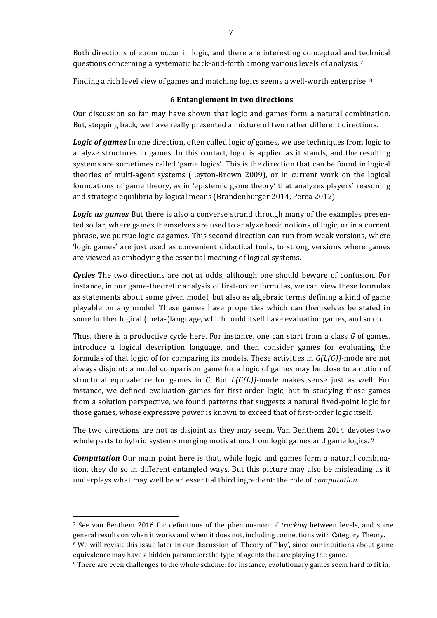Both directions of zoom occur in logic, and there are interesting conceptual and technical questions concerning a systematic back-and-forth among various levels of analysis.<sup>7</sup>

Finding a rich level view of games and matching logics seems a well-worth enterprise.  $8$ 

### **6** Entanglement in two directions

Our discussion so far may have shown that logic and games form a natural combination. But, stepping back, we have really presented a mixture of two rather different directions.

**Logic of games** In one direction, often called logic of games, we use techniques from logic to analyze structures in games. In this contact, logic is applied as it stands, and the resulting systems are sometimes called 'game logics'. This is the direction that can be found in logical theories of multi-agent systems (Leyton-Brown 2009), or in current work on the logical foundations of game theory, as in 'epistemic game theory' that analyzes players' reasoning and strategic equilibria by logical means (Brandenburger 2014, Perea 2012).

**Logic** as games But there is also a converse strand through many of the examples presented so far, where games themselves are used to analyze basic notions of logic, or in a current phrase, we pursue logic *as* games. This second direction can run from weak versions, where 'logic games' are just used as convenient didactical tools, to strong versions where games are viewed as embodying the essential meaning of logical systems.

*Cycles* The two directions are not at odds, although one should beware of confusion. For instance, in our game-theoretic analysis of first-order formulas, we can view these formulas as statements about some given model, but also as algebraic terms defining a kind of game playable on any model. These games have properties which can themselves be stated in some further logical (meta-)language, which could itself have evaluation games, and so on.

Thus, there is a productive cycle here. For instance, one can start from a class G of games, introduce a logical description language, and then consider games for evaluating the formulas of that logic, of for comparing its models. These activities in  $G(L(G))$ -mode are not always disjoint: a model comparison game for a logic of games may be close to a notion of structural equivalence for games in *G*. But *L(G(L))*-mode makes sense just as well. For instance, we defined evaluation games for first-order logic, but in studying those games from a solution perspective, we found patterns that suggests a natural fixed-point logic for those games, whose expressive power is known to exceed that of first-order logic itself.

The two directions are not as disjoint as they may seem. Van Benthem 2014 devotes two whole parts to hybrid systems merging motivations from logic games and game logics.  $9$ 

*Computation* Our main point here is that, while logic and games form a natural combination, they do so in different entangled ways. But this picture may also be misleading as it underplays what may well be an essential third ingredient: the role of *computation*.

<sup>&</sup>lt;sup>7</sup> See van Benthem 2016 for definitions of the phenomenon of *tracking* between levels, and some general results on when it works and when it does not, including connections with Category Theory.

<sup>&</sup>lt;sup>8</sup> We will revisit this issue later in our discussion of 'Theory of Play', since our intuitions about game equivalence may have a hidden parameter: the type of agents that are playing the game.

<sup>&</sup>lt;sup>9</sup> There are even challenges to the whole scheme: for instance, evolutionary games seem hard to fit in.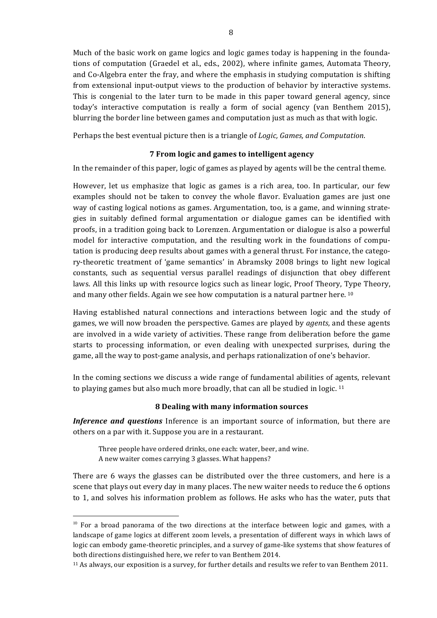Much of the basic work on game logics and logic games today is happening in the foundations of computation (Graedel et al., eds., 2002), where infinite games, Automata Theory, and Co-Algebra enter the fray, and where the emphasis in studying computation is shifting from extensional input-output views to the production of behavior by interactive systems. This is congenial to the later turn to be made in this paper toward general agency, since today's interactive computation is really a form of social agency (van Benthem 2015), blurring the border line between games and computation just as much as that with logic.

Perhaps the best eventual picture then is a triangle of *Logic, Games, and Computation*.

### **7 From logic and games to intelligent agency**

In the remainder of this paper, logic of games as played by agents will be the central theme.

However, let us emphasize that logic as games is a rich area, too. In particular, our few examples should not be taken to convey the whole flavor. Evaluation games are just one way of casting logical notions as games. Argumentation, too, is a game, and winning strategies in suitably defined formal argumentation or dialogue games can be identified with proofs, in a tradition going back to Lorenzen. Argumentation or dialogue is also a powerful model for interactive computation, and the resulting work in the foundations of computation is producing deep results about games with a general thrust. For instance, the category-theoretic treatment of 'game semantics' in Abramsky 2008 brings to light new logical constants, such as sequential versus parallel readings of disjunction that obey different laws. All this links up with resource logics such as linear logic, Proof Theory, Type Theory, and many other fields. Again we see how computation is a natural partner here.  $10$ 

Having established natural connections and interactions between logic and the study of games, we will now broaden the perspective. Games are played by *agents*, and these agents are involved in a wide variety of activities. These range from deliberation before the game starts to processing information, or even dealing with unexpected surprises, during the game, all the way to post-game analysis, and perhaps rationalization of one's behavior.

In the coming sections we discuss a wide range of fundamental abilities of agents, relevant to playing games but also much more broadly, that can all be studied in logic. <sup>11</sup>

## **8 Dealing with many information sources**

*Inference and questions* Inference is an important source of information, but there are others on a par with it. Suppose you are in a restaurant.

Three people have ordered drinks, one each: water, beer, and wine. A new waiter comes carrying 3 glasses. What happens?

There are 6 ways the glasses can be distributed over the three customers, and here is a scene that plays out every day in many places. The new waiter needs to reduce the 6 options to 1, and solves his information problem as follows. He asks who has the water, puts that

 $10$  For a broad panorama of the two directions at the interface between logic and games, with a landscape of game logics at different zoom levels, a presentation of different ways in which laws of logic can embody game-theoretic principles, and a survey of game-like systems that show features of both directions distinguished here, we refer to van Benthem 2014.

<sup>&</sup>lt;sup>11</sup> As always, our exposition is a survey, for further details and results we refer to van Benthem 2011.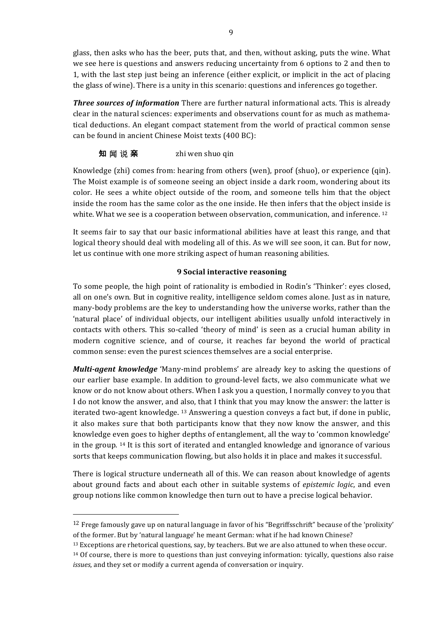glass, then asks who has the beer, puts that, and then, without asking, puts the wine. What we see here is questions and answers reducing uncertainty from 6 options to 2 and then to 1, with the last step just being an inference (either explicit, or implicit in the act of placing the glass of wine). There is a unity in this scenario: questions and inferences go together.

**Three sources of information** There are further natural informational acts. This is already clear in the natural sciences: experiments and observations count for as much as mathematical deductions. An elegant compact statement from the world of practical common sense can be found in ancient Chinese Moist texts (400 BC):

# 知 闻 说 亲 <br> **xhi** wen shuo qin

Knowledge  $(zhi)$  comes from: hearing from others (wen), proof  $(\text{shuo})$ , or experience  $(\text{qin})$ . The Moist example is of someone seeing an object inside a dark room, wondering about its color. He sees a white object outside of the room, and someone tells him that the object inside the room has the same color as the one inside. He then infers that the object inside is white. What we see is a cooperation between observation, communication, and inference.  $12$ 

It seems fair to say that our basic informational abilities have at least this range, and that logical theory should deal with modeling all of this. As we will see soon, it can. But for now, let us continue with one more striking aspect of human reasoning abilities.

## **9** Social interactive reasoning

To some people, the high point of rationality is embodied in Rodin's 'Thinker': eyes closed, all on one's own. But in cognitive reality, intelligence seldom comes alone. Just as in nature, many-body problems are the key to understanding how the universe works, rather than the 'natural place' of individual objects, our intelligent abilities usually unfold interactively in contacts with others. This so-called 'theory of mind' is seen as a crucial human ability in modern cognitive science, and of course, it reaches far beyond the world of practical common sense: even the purest sciences themselves are a social enterprise.

*Multi-agent knowledge* 'Many-mind problems' are already key to asking the questions of our earlier base example. In addition to ground-level facts, we also communicate what we know or do not know about others. When I ask you a question, I normally convey to you that I do not know the answer, and also, that I think that you may know the answer: the latter is iterated two-agent knowledge. <sup>13</sup> Answering a question conveys a fact but, if done in public, it also makes sure that both participants know that they now know the answer, and this knowledge even goes to higher depths of entanglement, all the way to 'common knowledge' in the group.  $14$  It is this sort of iterated and entangled knowledge and ignorance of various sorts that keeps communication flowing, but also holds it in place and makes it successful.

There is logical structure underneath all of this. We can reason about knowledge of agents about ground facts and about each other in suitable systems of *epistemic logic*, and even group notions like common knowledge then turn out to have a precise logical behavior.

 $12$  Frege famously gave up on natural language in favor of his "Begriffsschrift" because of the 'prolixity' of the former. But by 'natural language' he meant German: what if he had known Chinese?

<sup>&</sup>lt;sup>13</sup> Exceptions are rhetorical questions, say, by teachers. But we are also attuned to when these occur.  $14$  Of course, there is more to questions than just conveying information: tyically, questions also raise

*issues*, and they set or modify a current agenda of conversation or inquiry.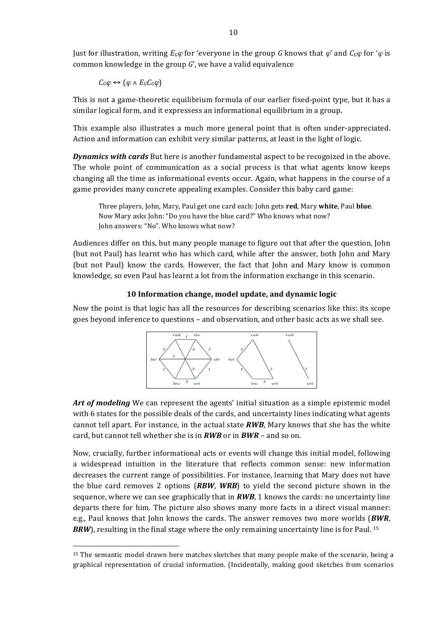Just for illustration, writing  $E_G\varphi$  for 'everyone in the group G knows that  $\varphi'$  and  $C_G\varphi$  for ' $\varphi$  is common knowledge in the group  $G'$ , we have a valid equivalence

 $C_G\varphi \leftrightarrow (\varphi \wedge E_G C_G\varphi)$ 

 $\overline{a}$ 

This is not a game-theoretic equilibrium formula of our earlier fixed-point type, but it has a similar logical form, and it expressess an informational equilibrium in a group.

This example also illustrates a much more general point that is often under-appreciated. Action and information can exhibit very similar patterns, at least in the light of logic.

**Dynamics with cards** But here is another fundamental aspect to be recognized in the above. The whole point of communication as a social process is that what agents know keeps changing all the time as informational events occur. Again, what happens in the course of a game provides many concrete appealing examples. Consider this baby card game:

Three players, John, Mary, Paul get one card each: John gets **red**, Mary **white**, Paul **blue**. Now Mary asks John: "Do you have the blue card?" Who knows what now? John answers: "No". Who knows what now?

Audiences differ on this, but many people manage to figure out that after the question, John (but not Paul) has learnt who has which card, while after the answer, both John and Mary (but not Paul) know the cards. However, the fact that John and Mary know is common knowledge, so even Paul has learnt a lot from the information exchange in this scenario.

### **10 Information change, model update, and dynamic logic**

Now the point is that logic has all the resources for describing scenarios like this: its scope goes beyond inference to questions – and observation, and other basic acts as we shall see.



Art of modeling We can represent the agents' initial situation as a simple epistemic model with 6 states for the possible deals of the cards, and uncertainty lines indicating what agents cannot tell apart. For instance, in the actual state  $RWB$ , Mary knows that she has the white card, but cannot tell whether she is in *RWB* or in *BWR* – and so on.

Now, crucially, further informational acts or events will change this initial model, following a widespread intuition in the literature that reflects common sense: new information decreases the current range of possibilities. For instance, learning that Mary does not have the blue card removes 2 options (*RBW*, *WRB*) to yield the second picture shown in the sequence, where we can see graphically that in  $RWB$ , 1 knows the cards: no uncertainty line departs there for him. The picture also shows many more facts in a direct visual manner: e.g., Paul knows that John knows the cards. The answer removes two more worlds *(BWR, BRW*), resulting in the final stage where the only remaining uncertainty line is for Paul. <sup>15</sup>

<sup>&</sup>lt;sup>15</sup> The semantic model drawn here matches sketches that many people make of the scenario, being a graphical representation of crucial information. (Incidentally, making good sketches from scenarios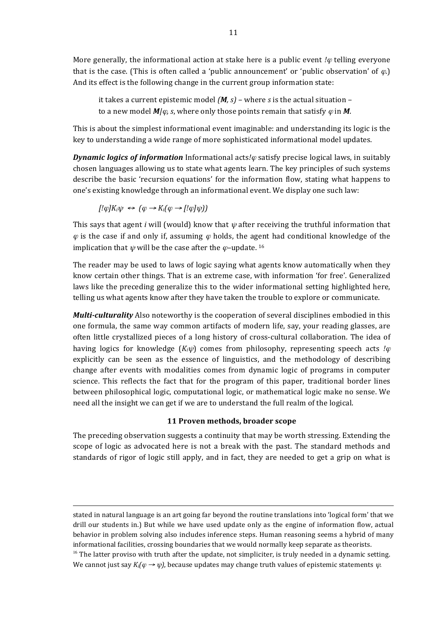More generally, the informational action at stake here is a public event  $\varphi$  telling everyone that is the case. (This is often called a 'public announcement' or 'public observation' of  $\varphi$ .) And its effect is the following change in the current group information state:

it takes a current epistemic model  $(M, s)$  – where *s* is the actual situation – to a new model  $M/\varphi$ , *s*, where only those points remain that satisfy  $\varphi$  in M.

This is about the simplest informational event imaginable: and understanding its logic is the key to understanding a wide range of more sophisticated informational model updates.

*Dynamic logics of information* Informational acts/ $\varphi$  satisfy precise logical laws, in suitably chosen languages allowing us to state what agents learn. The key principles of such systems describe the basic 'recursion equations' for the information flow, stating what happens to one's existing knowledge through an informational event. We display one such law:

$$
[! \varphi] K_i \psi \leftrightarrow (\varphi \rightarrow K_i(\varphi \rightarrow [! \varphi] \psi))
$$

 $\overline{a}$ 

This says that agent *i* will (would) know that  $\psi$  after receiving the truthful information that  $\varphi$  is the case if and only if, assuming  $\varphi$  holds, the agent had conditional knowledge of the implication that  $\psi$  will be the case after the  $\varphi$ -update. <sup>16</sup>

The reader may be used to laws of logic saying what agents know automatically when they know certain other things. That is an extreme case, with information 'for free'. Generalized laws like the preceding generalize this to the wider informational setting highlighted here, telling us what agents know after they have taken the trouble to explore or communicate.

*Multi-culturality* Also noteworthy is the cooperation of several disciplines embodied in this one formula, the same way common artifacts of modern life, say, your reading glasses, are often little crystallized pieces of a long history of cross-cultural collaboration. The idea of having logics for knowledge  $(K_i\psi)$  comes from philosophy, representing speech acts *!* $\varphi$ explicitly can be seen as the essence of linguistics, and the methodology of describing change after events with modalities comes from dynamic logic of programs in computer science. This reflects the fact that for the program of this paper, traditional border lines between philosophical logic, computational logic, or mathematical logic make no sense. We need all the insight we can get if we are to understand the full realm of the logical.

### 11 Proven methods, broader scope

The preceding observation suggests a continuity that may be worth stressing. Extending the scope of logic as advocated here is not a break with the past. The standard methods and standards of rigor of logic still apply, and in fact, they are needed to get a grip on what is

stated in natural language is an art going far beyond the routine translations into 'logical form' that we drill our students in.) But while we have used update only as the engine of information flow, actual behavior in problem solving also includes inference steps. Human reasoning seems a hybrid of many informational facilities, crossing boundaries that we would normally keep separate as theorists.

 $16$  The latter proviso with truth after the update, not simpliciter, is truly needed in a dynamic setting. We cannot just say  $K_i(\varphi \to \psi)$ , because updates may change truth values of epistemic statements  $\psi$ .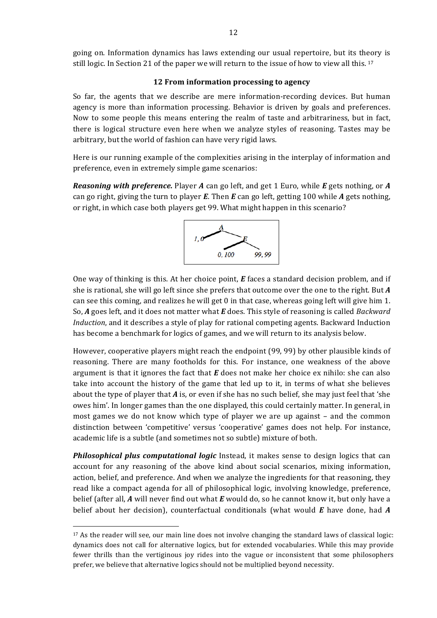going on. Information dynamics has laws extending our usual repertoire, but its theory is still logic. In Section 21 of the paper we will return to the issue of how to view all this. <sup>17</sup>

#### **12 From information processing to agency**

So far, the agents that we describe are mere information-recording devices. But human agency is more than information processing. Behavior is driven by goals and preferences. Now to some people this means entering the realm of taste and arbitrariness, but in fact, there is logical structure even here when we analyze styles of reasoning. Tastes may be arbitrary, but the world of fashion can have very rigid laws.

Here is our running example of the complexities arising in the interplay of information and preference, even in extremely simple game scenarios:

*Reasoning with preference.* Player *A* can go left, and get 1 Euro, while *E* gets nothing, or *A* can go right, giving the turn to player *E*. Then *E* can go left, getting 100 while *A* gets nothing, or right, in which case both players get 99. What might happen in this scenario?



One way of thinking is this. At her choice point,  $E$  faces a standard decision problem, and if she is rational, she will go left since she prefers that outcome over the one to the right. But *A* can see this coming, and realizes he will get 0 in that case, whereas going left will give him 1. So, A goes left, and it does not matter what *E* does. This style of reasoning is called *Backward Induction*, and it describes a style of play for rational competing agents. Backward Induction has become a benchmark for logics of games, and we will return to its analysis below.

However, cooperative players might reach the endpoint (99, 99) by other plausible kinds of reasoning. There are many footholds for this. For instance, one weakness of the above argument is that it ignores the fact that  $E$  does not make her choice ex nihilo: she can also take into account the history of the game that led up to it, in terms of what she believes about the type of player that  $A$  is, or even if she has no such belief, she may just feel that 'she owes him'. In longer games than the one displayed, this could certainly matter. In general, in most games we do not know which type of player we are up against - and the common distinction between 'competitive' versus 'cooperative' games does not help. For instance, academic life is a subtle (and sometimes not so subtle) mixture of both.

**Philosophical plus computational logic** Instead, it makes sense to design logics that can account for any reasoning of the above kind about social scenarios, mixing information, action, belief, and preference. And when we analyze the ingredients for that reasoning, they read like a compact agenda for all of philosophical logic, involving knowledge, preference, belief (after all, A will never find out what E would do, so he cannot know it, but only have a belief about her decision), counterfactual conditionals (what would *E* have done, had *A* 

 $17$  As the reader will see, our main line does not involve changing the standard laws of classical logic: dynamics does not call for alternative logics, but for extended vocabularies. While this may provide fewer thrills than the vertiginous joy rides into the vague or inconsistent that some philosophers prefer, we believe that alternative logics should not be multiplied beyond necessity.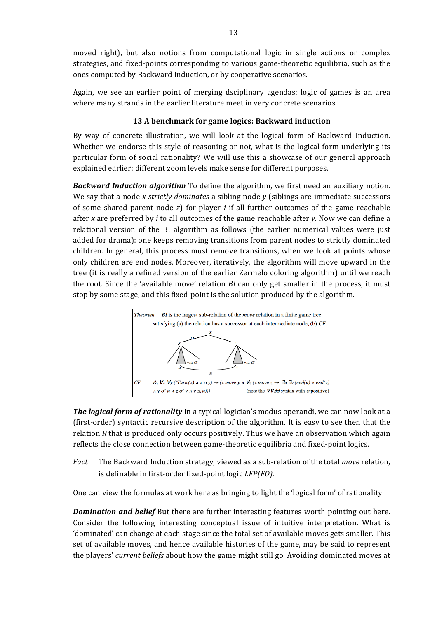moved right), but also notions from computational logic in single actions or complex strategies, and fixed-points corresponding to various game-theoretic equilibria, such as the ones computed by Backward Induction, or by cooperative scenarios.

Again, we see an earlier point of merging dsciplinary agendas: logic of games is an area where many strands in the earlier literature meet in very concrete scenarios.

### **13 A benchmark for game logics: Backward induction**

By way of concrete illustration, we will look at the logical form of Backward Induction. Whether we endorse this style of reasoning or not, what is the logical form underlying its particular form of social rationality? We will use this a showcase of our general approach explained earlier: different zoom levels make sense for different purposes.

**Backward Induction algorithm** To define the algorithm, we first need an auxiliary notion. We say that a node *x* strictly dominates a sibling node *y* (siblings are immediate successors of some shared parent node *z*) for player *i* if all further outcomes of the game reachable after *x* are preferred by *i* to all outcomes of the game reachable after *y*. Now we can define a relational version of the BI algorithm as follows (the earlier numerical values were just added for drama): one keeps removing transitions from parent nodes to strictly dominated children. In general, this process must remove transitions, when we look at points whose only children are end nodes. Moreover, iteratively, the algorithm will move upward in the tree (it is really a refined version of the earlier Zermelo coloring algorithm) until we reach the root. Since the 'available move' relation *BI* can only get smaller in the process, it must stop by some stage, and this fixed-point is the solution produced by the algorithm.



*The logical form of rationality* In a typical logician's modus operandi, we can now look at a (first-order) syntactic recursive description of the algorithm. It is easy to see then that the relation  $R$  that is produced only occurs positively. Thus we have an observation which again reflects the close connection between game-theoretic equilibria and fixed-point logics.

*Fact* The Backward Induction strategy, viewed as a sub-relation of the total *move* relation, is definable in first-order fixed-point logic *LFP(FO)*.

One can view the formulas at work here as bringing to light the 'logical form' of rationality.

**Domination and belief** But there are further interesting features worth pointing out here. Consider the following interesting conceptual issue of intuitive interpretation. What is 'dominated' can change at each stage since the total set of available moves gets smaller. This set of available moves, and hence available histories of the game, may be said to represent the players' *current beliefs* about how the game might still go. Avoiding dominated moves at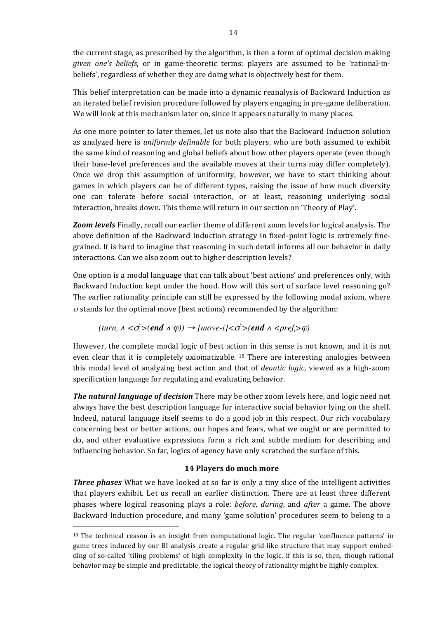the current stage, as prescribed by the algorithm, is then a form of optimal decision making *given* one's beliefs, or in game-theoretic terms: players are assumed to be 'rational-inbeliefs', regardless of whether they are doing what is objectively best for them.

This belief interpretation can be made into a dynamic reanalysis of Backward Induction as an iterated belief revision procedure followed by players engaging in pre-game deliberation. We will look at this mechanism later on, since it appears naturally in many places.

As one more pointer to later themes, let us note also that the Backward Induction solution as analyzed here is *uniformly definable* for both players, who are both assumed to exhibit the same kind of reasoning and global beliefs about how other players operate (even though their base-level preferences and the available moves at their turns may differ completely). Once we drop this assumption of uniformity, however, we have to start thinking about games in which players can be of different types, raising the issue of how much diversity one can tolerate before social interaction, or at least, reasoning underlying social interaction, breaks down. This theme will return in our section on 'Theory of Play'.

**Zoom levels** Finally, recall our earlier theme of different zoom levels for logical analysis. The above definition of the Backward Induction strategy in fixed-point logic is extremely finegrained. It is hard to imagine that reasoning in such detail informs all our behavior in daily interactions. Can we also zoom out to higher description levels?

One option is a modal language that can talk about 'best actions' and preferences only, with Backward Induction kept under the hood. How will this sort of surface level reasoning go? The earlier rationality principle can still be expressed by the following modal axiom, where  $\sigma$  stands for the optimal move (best actions) recommended by the algorithm:

$$
turn_i \land \langle \sigma^*>(end \land \varphi) \rangle \rightarrow [move\text{-}i]{<\sigma^*}{
$$

However, the complete modal logic of best action in this sense is not known, and it is not even clear that it is completely axiomatizable. <sup>18</sup> There are interesting analogies between this modal level of analyzing best action and that of *deontic logic*, viewed as a high-zoom specification language for regulating and evaluating behavior.

**The natural language of decision** There may be other zoom levels here, and logic need not always have the best description language for interactive social behavior lying on the shelf. Indeed, natural language itself seems to do a good job in this respect. Our rich vocabulary concerning best or better actions, our hopes and fears, what we ought or are permitted to do, and other evaluative expressions form a rich and subtle medium for describing and influencing behavior. So far, logics of agency have only scratched the surface of this.

## **14 Players do much more**

**Three phases** What we have looked at so far is only a tiny slice of the intelligent activities that players exhibit. Let us recall an earlier distinction. There are at least three different phases where logical reasoning plays a role: *before*, *during*, and *after* a game. The above Backward Induction procedure, and many 'game solution' procedures seem to belong to a

 $18$  The technical reason is an insight from computational logic. The regular 'confluence patterns' in game trees induced by our BI analysis create a regular grid-like structure that may support embedding of so-called 'tiling problems' of high complexity in the logic. If this is so, then, though rational behavior may be simple and predictable, the logical theory of rationality might be highly complex.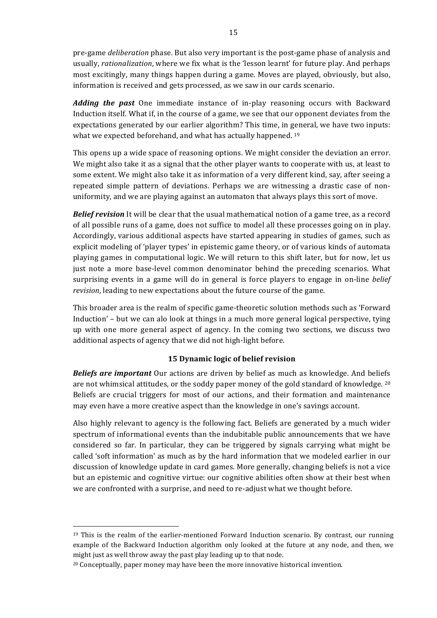pre-game *deliberation* phase. But also very important is the post-game phase of analysis and usually, *rationalization*, where we fix what is the 'lesson learnt' for future play. And perhaps most excitingly, many things happen during a game. Moves are played, obviously, but also, information is received and gets processed, as we saw in our cards scenario.

**Adding the past** One immediate instance of in-play reasoning occurs with Backward Induction itself. What if, in the course of a game, we see that our opponent deviates from the expectations generated by our earlier algorithm? This time, in general, we have two inputs: what we expected beforehand, and what has actually happened.  $19$ 

This opens up a wide space of reasoning options. We might consider the deviation an error. We might also take it as a signal that the other player wants to cooperate with us, at least to some extent. We might also take it as information of a very different kind, say, after seeing a repeated simple pattern of deviations. Perhaps we are witnessing a drastic case of nonuniformity, and we are playing against an automaton that always plays this sort of move.

*Belief revision* It will be clear that the usual mathematical notion of a game tree, as a record of all possible runs of a game, does not suffice to model all these processes going on in play. Accordingly, various additional aspects have started appearing in studies of games, such as explicit modeling of 'player types' in epistemic game theory, or of various kinds of automata playing games in computational logic. We will return to this shift later, but for now, let us just note a more base-level common denominator behind the preceding scenarios. What surprising events in a game will do in general is force players to engage in on-line *belief revision*, leading to new expectations about the future course of the game.

This broader area is the realm of specific game-theoretic solution methods such as 'Forward Induction' – but we can alo look at things in a much more general logical perspective, tying up with one more general aspect of agency. In the coming two sections, we discuss two additional aspects of agency that we did not high-light before.

## **15 Dynamic logic of belief revision**

**Beliefs are important** Our actions are driven by belief as much as knowledge. And beliefs are not whimsical attitudes, or the soddy paper money of the gold standard of knowledge. <sup>20</sup> Beliefs are crucial triggers for most of our actions, and their formation and maintenance may even have a more creative aspect than the knowledge in one's savings account.

Also highly relevant to agency is the following fact. Beliefs are generated by a much wider spectrum of informational events than the indubitable public announcements that we have considered so far. In particular, they can be triggered by signals carrying what might be called 'soft information' as much as by the hard information that we modeled earlier in our discussion of knowledge update in card games. More generally, changing beliefs is not a vice but an epistemic and cognitive virtue: our cognitive abilities often show at their best when we are confronted with a surprise, and need to re-adjust what we thought before.

 $19$  This is the realm of the earlier-mentioned Forward Induction scenario. By contrast, our running example of the Backward Induction algorithm only looked at the future at any node, and then, we might just as well throw away the past play leading up to that node.

<sup>&</sup>lt;sup>20</sup> Conceptually, paper money may have been the more innovative historical invention.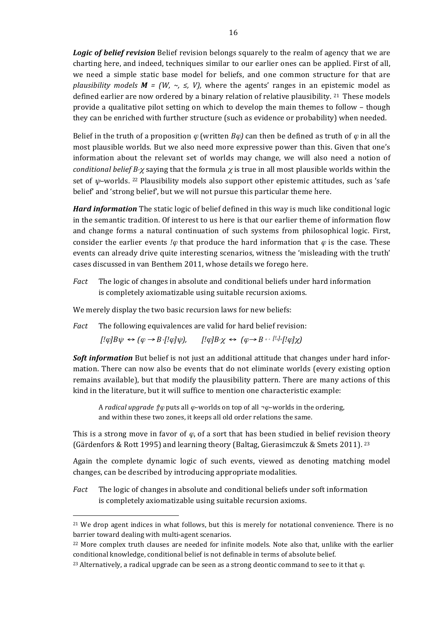**Logic of belief revision** Belief revision belongs squarely to the realm of agency that we are charting here, and indeed, techniques similar to our earlier ones can be applied. First of all, we need a simple static base model for beliefs, and one common structure for that are *plausibility models*  $M = (W, \sim, \leq, V)$ , where the agents' ranges in an epistemic model as defined earlier are now ordered by a binary relation of relative plausibility.  $21$  These models provide a qualitative pilot setting on which to develop the main themes to follow – though they can be enriched with further structure (such as evidence or probability) when needed.

Belief in the truth of a proposition  $\varphi$  (written  $B\varphi$ ) can then be defined as truth of  $\varphi$  in all the most plausible worlds. But we also need more expressive power than this. Given that one's information about the relevant set of worlds may change, we will also need a notion of *conditional belief*  $B_{\gamma}$  saying that the formula  $\chi$  is true in all most plausible worlds within the set of  $\psi$ -worlds. <sup>22</sup> Plausibility models also support other epistemic attitudes, such as 'safe belief' and 'strong belief', but we will not pursue this particular theme here.

*Hard information* The static logic of belief defined in this way is much like conditional logic in the semantic tradition. Of interest to us here is that our earlier theme of information flow and change forms a natural continuation of such systems from philosophical logic. First, consider the earlier events *!* $\varphi$  that produce the hard information that  $\varphi$  is the case. These events can already drive quite interesting scenarios, witness the 'misleading with the truth' cases discussed in van Benthem 2011, whose details we forego here.

*Fact* The logic of changes in absolute and conditional beliefs under hard information is completely axiomatizable using suitable recursion axioms.

We merely display the two basic recursion laws for new beliefs:

 $\overline{a}$ 

*Fact* The following equivalences are valid for hard belief revision:

 $[!\varphi]B\psi \leftrightarrow (\varphi \rightarrow B \cdot [!\varphi]\psi), \qquad [!\varphi]B \chi \leftrightarrow (\varphi \rightarrow B \cdot [!\varphi] \cdot [!\varphi]\chi)$ 

**Soft information** But belief is not just an additional attitude that changes under hard information. There can now also be events that do not eliminate worlds (every existing option remains available), but that modify the plausibility pattern. There are many actions of this kind in the literature, but it will suffice to mention one characteristic example:

A *radical upgrade*  $\hat{p}\varphi$  puts all  $\varphi$ –worlds on top of all  $\neg \varphi$ –worlds in the ordering, and within these two zones, it keeps all old order relations the same.

This is a strong move in favor of  $\varphi$ , of a sort that has been studied in belief revision theory (Gärdenfors & Rott 1995) and learning theory (Baltag, Gierasimczuk & Smets 2011). <sup>23</sup>

Again the complete dynamic logic of such events, viewed as denoting matching model changes, can be described by introducing appropriate modalities.

*Fact* The logic of changes in absolute and conditional beliefs under soft information is completely axiomatizable using suitable recursion axioms.

<sup>&</sup>lt;sup>21</sup> We drop agent indices in what follows, but this is merely for notational convenience. There is no barrier toward dealing with multi-agent scenarios.

<sup>&</sup>lt;sup>22</sup> More complex truth clauses are needed for infinite models. Note also that, unlike with the earlier conditional knowledge, conditional belief is not definable in terms of absolute belief.

<sup>&</sup>lt;sup>23</sup> Alternatively, a radical upgrade can be seen as a strong deontic command to see to it that  $\varphi$ .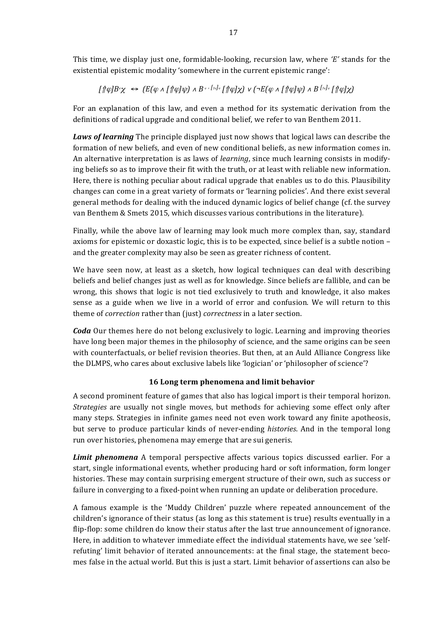This time, we display just one, formidable-looking, recursion law, where  $E'$  stands for the existential epistemic modality 'somewhere in the current epistemic range':

$$
[{\text{Tr}} \phi] B^* \chi \iff (E(\varphi \land [\text{Tr} \phi] \psi) \land B^* \land [\text{Tr} \phi] \chi) \lor (\neg E(\varphi \land [\text{Tr} \phi] \psi) \land B^{\text{Tr} \phi} [\text{Tr} \phi] \chi)
$$

For an explanation of this law, and even a method for its systematic derivation from the definitions of radical upgrade and conditional belief, we refer to van Benthem 2011.

*Laws of learning* The principle displayed just now shows that logical laws can describe the formation of new beliefs, and even of new conditional beliefs, as new information comes in. An alternative interpretation is as laws of *learning*, since much learning consists in modifying beliefs so as to improve their fit with the truth, or at least with reliable new information. Here, there is nothing peculiar about radical upgrade that enables us to do this. Plausibility changes can come in a great variety of formats or 'learning policies'. And there exist several general methods for dealing with the induced dynamic logics of belief change (cf. the survey van Benthem & Smets 2015, which discusses various contributions in the literature).

Finally, while the above law of learning may look much more complex than, say, standard axioms for epistemic or doxastic logic, this is to be expected, since belief is a subtle notion  $$ and the greater complexity may also be seen as greater richness of content.

We have seen now, at least as a sketch, how logical techniques can deal with describing beliefs and belief changes just as well as for knowledge. Since beliefs are fallible, and can be wrong, this shows that logic is not tied exclusively to truth and knowledge, it also makes sense as a guide when we live in a world of error and confusion. We will return to this theme of *correction* rather than (just) *correctness* in a later section.

*Coda* Our themes here do not belong exclusively to logic. Learning and improving theories have long been major themes in the philosophy of science, and the same origins can be seen with counterfactuals, or belief revision theories. But then, at an Auld Alliance Congress like the DLMPS, who cares about exclusive labels like 'logician' or 'philosopher of science'?

## **16 Long term phenomena and limit behavior**

A second prominent feature of games that also has logical import is their temporal horizon. *Strategies* are usually not single moves, but methods for achieving some effect only after many steps. Strategies in infinite games need not even work toward any finite apotheosis, but serve to produce particular kinds of never-ending *histories*. And in the temporal long run over histories, phenomena may emerge that are sui generis.

**Limit phenomena** A temporal perspective affects various topics discussed earlier. For a start, single informational events, whether producing hard or soft information, form longer histories. These may contain surprising emergent structure of their own, such as success or failure in converging to a fixed-point when running an update or deliberation procedure.

A famous example is the 'Muddy Children' puzzle where repeated announcement of the children's ignorance of their status (as long as this statement is true) results eventually in a flip-flop: some children do know their status after the last true announcement of ignorance. Here, in addition to whatever immediate effect the individual statements have, we see 'selfrefuting' limit behavior of iterated announcements: at the final stage, the statement becomes false in the actual world. But this is just a start. Limit behavior of assertions can also be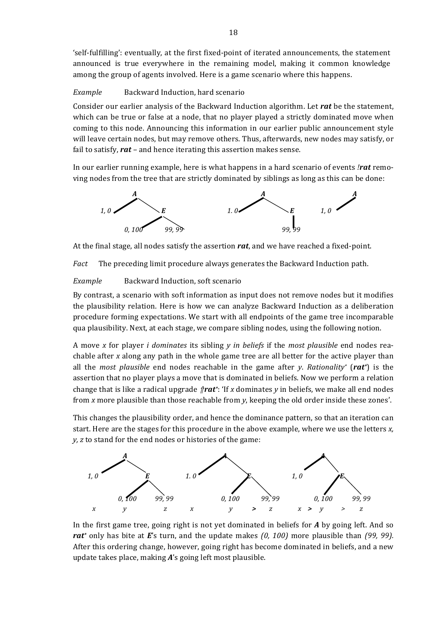'self-fulfilling': eventually, at the first fixed-point of iterated announcements, the statement announced is true everywhere in the remaining model, making it common knowledge among the group of agents involved. Here is a game scenario where this happens.

### *Example* Backward Induction, hard scenario

Consider our earlier analysis of the Backward Induction algorithm. Let rat be the statement, which can be true or false at a node, that no player played a strictly dominated move when coming to this node. Announcing this information in our earlier public announcement style will leave certain nodes, but may remove others. Thus, afterwards, new nodes may satisfy, or fail to satisfy,  $rat$  – and hence iterating this assertion makes sense.

In our earlier running example, here is what happens in a hard scenario of events *!rat* removing nodes from the tree that are strictly dominated by siblings as long as this can be done:



At the final stage, all nodes satisfy the assertion rat, and we have reached a fixed-point.

*Fact* The preceding limit procedure always generates the Backward Induction path.

*Example* Backward Induction, soft scenario

By contrast, a scenario with soft information as input does not remove nodes but it modifies the plausibility relation. Here is how we can analyze Backward Induction as a deliberation procedure forming expectations. We start with all endpoints of the game tree incomparable qua plausibility. Next, at each stage, we compare sibling nodes, using the following notion.

A move *x* for player *i dominates* its sibling *y in beliefs* if the *most plausible* end nodes reachable after *x* along any path in the whole game tree are all better for the active player than all the *most plausible* end nodes reachable in the game after *y*. *Rationality*<sup>\*</sup> (rat<sup>\*</sup>) is the assertion that no player plays a move that is dominated in beliefs. Now we perform a relation change that is like a radical upgrade  $\beta$ **rat**<sup>\*</sup>: 'If x dominates y in beliefs, we make all end nodes from *x* more plausible than those reachable from *y*, keeping the old order inside these zones'.

This changes the plausibility order, and hence the dominance pattern, so that an iteration can start. Here are the stages for this procedure in the above example, where we use the letters *x*, *y*, *z* to stand for the end nodes or histories of the game:



In the first game tree, going right is not yet dominated in beliefs for *A* by going left. And so *rat*<sup>\*</sup> only has bite at *E*'s turn, and the update makes (0, 100) more plausible than (99, 99). After this ordering change, however, going right has become dominated in beliefs, and a new update takes place, making  $A$ 's going left most plausible.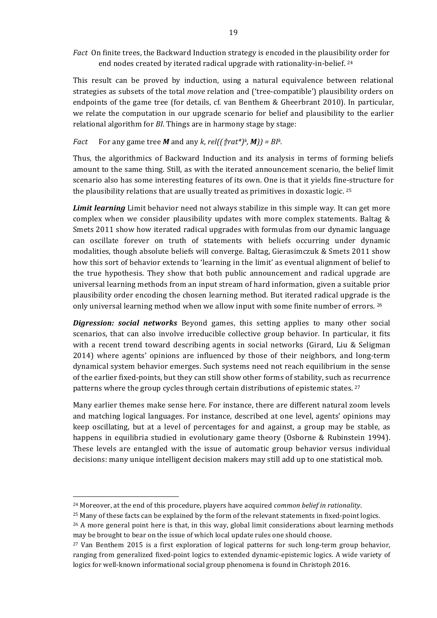Fact On finite trees, the Backward Induction strategy is encoded in the plausibility order for end nodes created by iterated radical upgrade with rationality-in-belief. <sup>24</sup>

This result can be proved by induction, using a natural equivalence between relational strategies as subsets of the total *move* relation and ('tree-compatible') plausibility orders on endpoints of the game tree (for details, cf. van Benthem & Gheerbrant 2010). In particular, we relate the computation in our upgrade scenario for belief and plausibility to the earlier relational algorithm for *BI*. Things are in harmony stage by stage:

*Fact* For any game tree *M* and any *k*, *rel((* $\int$ *rat\*)k*, *M*)) = *BIk.* 

Thus, the algorithmics of Backward Induction and its analysis in terms of forming beliefs amount to the same thing. Still, as with the iterated announcement scenario, the belief limit scenario also has some interesting features of its own. One is that it yields fine-structure for the plausibility relations that are usually treated as primitives in doxastic logic.  $25$ 

**Limit learning** Limit behavior need not always stabilize in this simple way. It can get more complex when we consider plausibility updates with more complex statements. Baltag  $\&$ Smets 2011 show how iterated radical upgrades with formulas from our dynamic language can oscillate forever on truth of statements with beliefs occurring under dynamic modalities, though absolute beliefs will converge. Baltag, Gierasimczuk & Smets 2011 show how this sort of behavior extends to 'learning in the limit' as eventual alignment of belief to the true hypothesis. They show that both public announcement and radical upgrade are universal learning methods from an input stream of hard information, given a suitable prior plausibility order encoding the chosen learning method. But iterated radical upgrade is the only universal learning method when we allow input with some finite number of errors. <sup>26</sup>

**Digression:** social networks Beyond games, this setting applies to many other social scenarios, that can also involve irreducible collective group behavior. In particular, it fits with a recent trend toward describing agents in social networks (Girard, Liu & Seligman 2014) where agents' opinions are influenced by those of their neighbors, and long-term dynamical system behavior emerges. Such systems need not reach equilibrium in the sense of the earlier fixed-points, but they can still show other forms of stability, such as recurrence patterns where the group cycles through certain distributions of epistemic states.  $27$ 

Many earlier themes make sense here. For instance, there are different natural zoom levels and matching logical languages. For instance, described at one level, agents' opinions may keep oscillating, but at a level of percentages for and against, a group may be stable, as happens in equilibria studied in evolutionary game theory (Osborne & Rubinstein 1994). These levels are entangled with the issue of automatic group behavior versus individual decisions: many unique intelligent decision makers may still add up to one statistical mob.

<sup>&</sup>lt;sup>24</sup> Moreover, at the end of this procedure, players have acquired *common belief in rationality*.

 $25$  Many of these facts can be explained by the form of the relevant statements in fixed-point logics.

 $26$  A more general point here is that, in this way, global limit considerations about learning methods may be brought to bear on the issue of which local update rules one should choose.

<sup>&</sup>lt;sup>27</sup> Van Benthem 2015 is a first exploration of logical patterns for such long-term group behavior, ranging from generalized fixed-point logics to extended dynamic-epistemic logics. A wide variety of logics for well-known informational social group phenomena is found in Christoph 2016.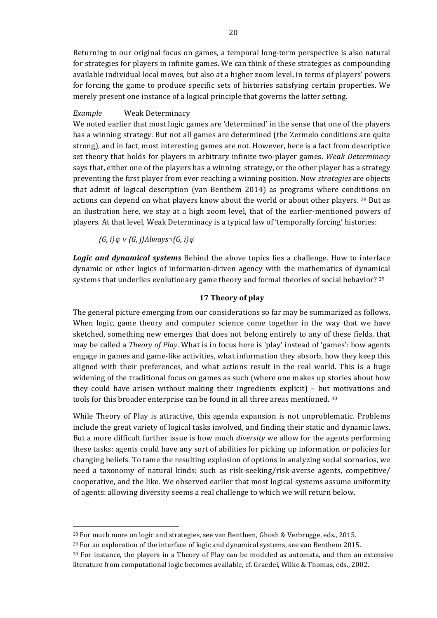Returning to our original focus on games, a temporal long-term perspective is also natural for strategies for players in infinite games. We can think of these strategies as compounding available individual local moves, but also at a higher zoom level, in terms of players' powers for forcing the game to produce specific sets of histories satisfying certain properties. We merely present one instance of a logical principle that governs the latter setting.

### *Example* Weak Determinacy

We noted earlier that most logic games are 'determined' in the sense that one of the players has a winning strategy. But not all games are determined (the Zermelo conditions are quite strong), and in fact, most interesting games are not. However, here is a fact from descriptive set theory that holds for players in arbitrary infinite two-player games. *Weak Determinacy* says that, either one of the players has a winning strategy, or the other player has a strategy preventing the first player from ever reaching a winning position. Now *strategies* are objects that admit of logical description (van Benthem 2014) as programs where conditions on actions can depend on what players know about the world or about other players. <sup>28</sup> But as an ilustration here, we stay at a high zoom level, that of the earlier-mentioned powers of players. At that level, Weak Determinacy is a typical law of 'temporally forcing' histories:

*{G, i}*<sup>ϕ</sup> <sup>∨</sup> *{G, j}Always¬{G, i}*<sup>ϕ</sup>

 $\overline{a}$ 

**Logic** and dynamical systems Behind the above topics lies a challenge. How to interface dynamic or other logics of information-driven agency with the mathematics of dynamical systems that underlies evolutionary game theory and formal theories of social behavior?  $^{29}$ 

## **17 Theory of play**

The general picture emerging from our considerations so far may be summarized as follows. When logic, game theory and computer science come together in the way that we have sketched, something new emerges that does not belong entirely to any of these fields, that may be called a *Theory of Play*. What is in focus here is 'play' instead of 'games': how agents engage in games and game-like activities, what information they absorb, how they keep this aligned with their preferences, and what actions result in the real world. This is a huge widening of the traditional focus on games as such (where one makes up stories about how they could have arisen without making their ingredients  $explicit)$  – but motivations and tools for this broader enterprise can be found in all three areas mentioned.  $30$ 

While Theory of Play is attractive, this agenda expansion is not unproblematic. Problems include the great variety of logical tasks involved, and finding their static and dynamic laws. But a more difficult further issue is how much *diversity* we allow for the agents performing these tasks: agents could have any sort of abilities for picking up information or policies for changing beliefs. To tame the resulting explosion of options in analyzing social scenarios, we need a taxonomy of natural kinds: such as risk-seeking/risk-averse agents, competitive/ cooperative, and the like. We observed earlier that most logical systems assume uniformity of agents: allowing diversity seems a real challenge to which we will return below.

 $^{28}$  For much more on logic and strategies, see van Benthem, Ghosh & Verbrugge, eds., 2015.

 $^{29}$  For an exploration of the interface of logic and dynamical systems, see van Benthem 2015.

 $30$  For instance, the players in a Theory of Play can be modeled as automata, and then an extensive literature from computational logic becomes available, cf. Graedel, Wilke & Thomas, eds., 2002.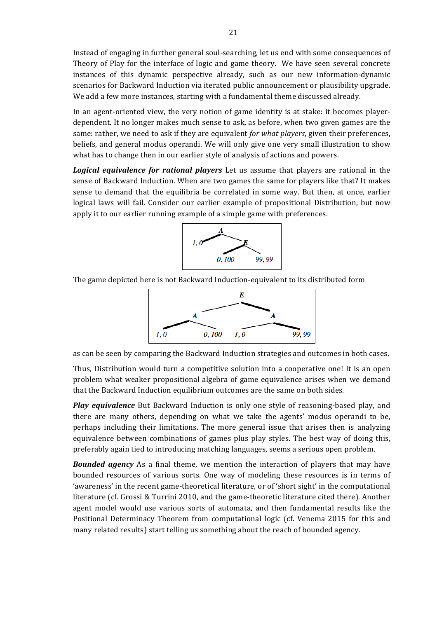Instead of engaging in further general soul-searching, let us end with some consequences of Theory of Play for the interface of logic and game theory. We have seen several concrete instances of this dynamic perspective already, such as our new information-dynamic scenarios for Backward Induction via iterated public announcement or plausibility upgrade. We add a few more instances, starting with a fundamental theme discussed already.

In an agent-oriented view, the very notion of game identity is at stake: it becomes playerdependent. It no longer makes much sense to ask, as before, when two given games are the same: rather, we need to ask if they are equivalent *for what players*, given their preferences, beliefs, and general modus operandi. We will only give one very small illustration to show what has to change then in our earlier style of analysis of actions and powers.

*Logical equivalence for rational players* Let us assume that players are rational in the sense of Backward Induction. When are two games the same for players like that? It makes sense to demand that the equilibria be correlated in some way. But then, at once, earlier logical laws will fail. Consider our earlier example of propositional Distribution, but now apply it to our earlier running example of a simple game with preferences.



The game depicted here is not Backward Induction-equivalent to its distributed form



as can be seen by comparing the Backward Induction strategies and outcomes in both cases.

Thus, Distribution would turn a competitive solution into a cooperative one! It is an open problem what weaker propositional algebra of game equivalence arises when we demand that the Backward Induction equilibrium outcomes are the same on both sides.

*Play equivalence* But Backward Induction is only one style of reasoning-based play, and there are many others, depending on what we take the agents' modus operandi to be, perhaps including their limitations. The more general issue that arises then is analyzing equivalence between combinations of games plus play styles. The best way of doing this, preferably again tied to introducing matching languages, seems a serious open problem.

**Bounded agency** As a final theme, we mention the interaction of players that may have bounded resources of various sorts. One way of modeling these resources is in terms of 'awareness' in the recent game-theoretical literature, or of 'short sight' in the computational literature (cf. Grossi & Turrini 2010, and the game-theoretic literature cited there). Another agent model would use various sorts of automata, and then fundamental results like the Positional Determinacy Theorem from computational logic (cf. Venema 2015 for this and many related results) start telling us something about the reach of bounded agency.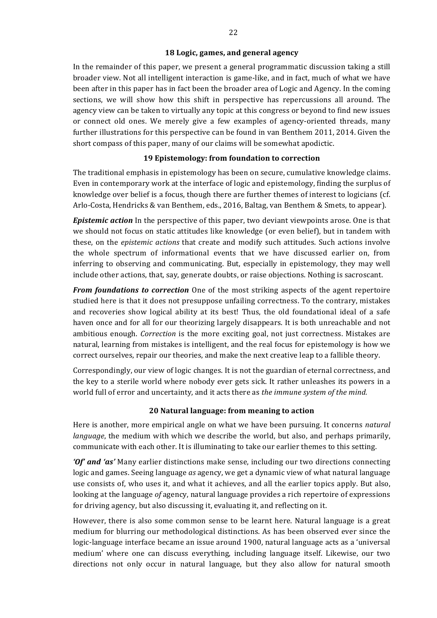#### **18 Logic, games, and general agency**

In the remainder of this paper, we present a general programmatic discussion taking a still broader view. Not all intelligent interaction is game-like, and in fact, much of what we have been after in this paper has in fact been the broader area of Logic and Agency. In the coming sections, we will show how this shift in perspective has repercussions all around. The agency view can be taken to virtually any topic at this congress or beyond to find new issues or connect old ones. We merely give a few examples of agency-oriented threads, many further illustrations for this perspective can be found in van Benthem 2011, 2014. Given the short compass of this paper, many of our claims will be somewhat apodictic.

### **19 Epistemology: from foundation to correction**

The traditional emphasis in epistemology has been on secure, cumulative knowledge claims. Even in contemporary work at the interface of logic and epistemology, finding the surplus of knowledge over belief is a focus, though there are further themes of interest to logicians (cf. Arlo-Costa, Hendricks & van Benthem, eds., 2016, Baltag, van Benthem & Smets, to appear).

**Epistemic action** In the perspective of this paper, two deviant viewpoints arose. One is that we should not focus on static attitudes like knowledge (or even belief), but in tandem with these, on the *epistemic actions* that create and modify such attitudes. Such actions involve the whole spectrum of informational events that we have discussed earlier on, from inferring to observing and communicating. But, especially in epistemology, they may well include other actions, that, say, generate doubts, or raise objections. Nothing is sacroscant.

From foundations to correction One of the most striking aspects of the agent repertoire studied here is that it does not presuppose unfailing correctness. To the contrary, mistakes and recoveries show logical ability at its best! Thus, the old foundational ideal of a safe haven once and for all for our theorizing largely disappears. It is both unreachable and not ambitious enough. *Correction* is the more exciting goal, not just correctness. Mistakes are natural, learning from mistakes is intelligent, and the real focus for epistemology is how we correct ourselves, repair our theories, and make the next creative leap to a fallible theory.

Correspondingly, our view of logic changes. It is not the guardian of eternal correctness, and the key to a sterile world where nobody ever gets sick. It rather unleashes its powers in a world full of error and uncertainty, and it acts there as *the immune system of the mind.* 

### **20 Natural language: from meaning to action**

Here is another, more empirical angle on what we have been pursuing. It concerns *natural language*, the medium with which we describe the world, but also, and perhaps primarily, communicate with each other. It is illuminating to take our earlier themes to this setting.

*'Of'* and 'as' Many earlier distinctions make sense, including our two directions connecting logic and games. Seeing language *as* agency, we get a dynamic view of what natural language use consists of, who uses it, and what it achieves, and all the earlier topics apply. But also, looking at the language *of* agency, natural language provides a rich repertoire of expressions for driving agency, but also discussing it, evaluating it, and reflecting on it.

However, there is also some common sense to be learnt here. Natural language is a great medium for blurring our methodological distinctions. As has been observed ever since the logic-language interface became an issue around 1900, natural language acts as a 'universal medium' where one can discuss everything, including language itself. Likewise, our two directions not only occur in natural language, but they also allow for natural smooth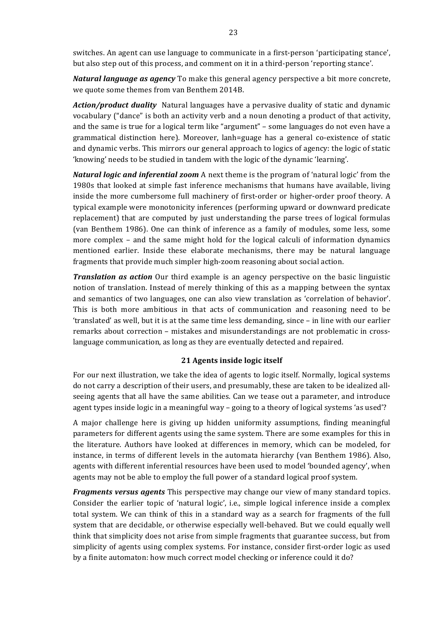switches. An agent can use language to communicate in a first-person 'participating stance', but also step out of this process, and comment on it in a third-person 'reporting stance'.

*Natural language as agency* To make this general agency perspective a bit more concrete, we quote some themes from van Benthem 2014B.

**Action/product duality** Natural languages have a pervasive duality of static and dynamic vocabulary ("dance" is both an activity verb and a noun denoting a product of that activity, and the same is true for a logical term like "argument" - some languages do not even have a grammatical distinction here). Moreover, lanh=guage has a general co-existence of static and dynamic verbs. This mirrors our general approach to logics of agency: the logic of static 'knowing' needs to be studied in tandem with the logic of the dynamic 'learning'.

*Natural logic and inferential zoom* A next theme is the program of 'natural logic' from the 1980s that looked at simple fast inference mechanisms that humans have available, living inside the more cumbersome full machinery of first-order or higher-order proof theory. A typical example were monotonicity inferences (performing upward or downward predicate replacement) that are computed by just understanding the parse trees of logical formulas (van Benthem 1986). One can think of inference as a family of modules, some less, some more complex  $-$  and the same might hold for the logical calculi of information dynamics mentioned earlier. Inside these elaborate mechanisms, there may be natural language fragments that provide much simpler high-zoom reasoning about social action.

*Translation as action* Our third example is an agency perspective on the basic linguistic notion of translation. Instead of merely thinking of this as a mapping between the syntax and semantics of two languages, one can also view translation as 'correlation of behavior'. This is both more ambitious in that acts of communication and reasoning need to be 'translated' as well, but it is at the same time less demanding, since – in line with our earlier remarks about correction – mistakes and misunderstandings are not problematic in crosslanguage communication, as long as they are eventually detected and repaired.

### **21 Agents inside logic itself**

For our next illustration, we take the idea of agents to logic itself. Normally, logical systems do not carry a description of their users, and presumably, these are taken to be idealized allseeing agents that all have the same abilities. Can we tease out a parameter, and introduce agent types inside logic in a meaningful way – going to a theory of logical systems 'as used'?

A major challenge here is giving up hidden uniformity assumptions, finding meaningful parameters for different agents using the same system. There are some examples for this in the literature. Authors have looked at differences in memory, which can be modeled, for instance, in terms of different levels in the automata hierarchy (van Benthem 1986). Also, agents with different inferential resources have been used to model 'bounded agency', when agents may not be able to employ the full power of a standard logical proof system.

*Fragments versus agents* This perspective may change our view of many standard topics. Consider the earlier topic of 'natural logic', i.e., simple logical inference inside a complex total system. We can think of this in a standard way as a search for fragments of the full system that are decidable, or otherwise especially well-behaved. But we could equally well think that simplicity does not arise from simple fragments that guarantee success, but from simplicity of agents using complex systems. For instance, consider first-order logic as used by a finite automaton: how much correct model checking or inference could it do?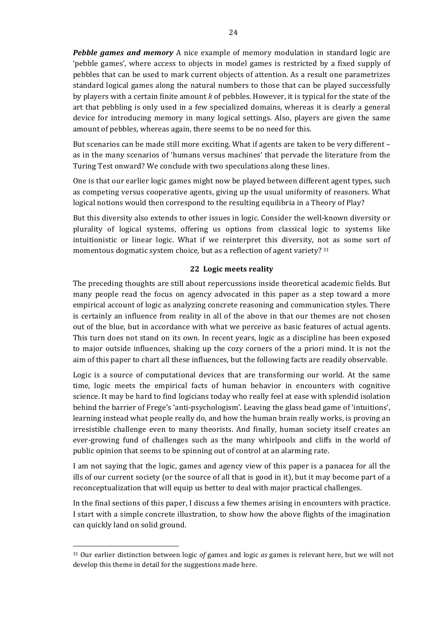**Pebble games and memory** A nice example of memory modulation in standard logic are 'pebble games', where access to objects in model games is restricted by a fixed supply of pebbles that can be used to mark current objects of attention. As a result one parametrizes standard logical games along the natural numbers to those that can be played successfully by players with a certain finite amount *k* of pebbles. However, it is typical for the state of the art that pebbling is only used in a few specialized domains, whereas it is clearly a general device for introducing memory in many logical settings. Also, players are given the same amount of pebbles, whereas again, there seems to be no need for this.

But scenarios can be made still more exciting. What if agents are taken to be very different – as in the many scenarios of 'humans versus machines' that pervade the literature from the Turing Test onward? We conclude with two speculations along these lines.

One is that our earlier logic games might now be played between different agent types, such as competing versus cooperative agents, giving up the usual uniformity of reasoners. What logical notions would then correspond to the resulting equilibria in a Theory of Play?

But this diversity also extends to other issues in logic. Consider the well-known diversity or plurality of logical systems, offering us options from classical logic to systems like intuitionistic or linear logic. What if we reinterpret this diversity, not as some sort of momentous dogmatic system choice, but as a reflection of agent variety?  $31$ 

### **22 Logic meets reality**

The preceding thoughts are still about repercussions inside theoretical academic fields. But many people read the focus on agency advocated in this paper as a step toward a more empirical account of logic as analyzing concrete reasoning and communication styles. There is certainly an influence from reality in all of the above in that our themes are not chosen out of the blue, but in accordance with what we perceive as basic features of actual agents. This turn does not stand on its own. In recent years, logic as a discipline has been exposed to major outside influences, shaking up the cozy corners of the a priori mind. It is not the aim of this paper to chart all these influences, but the following facts are readily observable.

Logic is a source of computational devices that are transforming our world. At the same time, logic meets the empirical facts of human behavior in encounters with cognitive science. It may be hard to find logicians today who really feel at ease with splendid isolation behind the barrier of Frege's 'anti-psychologism'. Leaving the glass bead game of 'intuitions', learning instead what people really do, and how the human brain really works, is proving an irresistible challenge even to many theorists. And finally, human society itself creates an ever-growing fund of challenges such as the many whirlpools and cliffs in the world of public opinion that seems to be spinning out of control at an alarming rate.

I am not saying that the logic, games and agency view of this paper is a panacea for all the ills of our current society (or the source of all that is good in it), but it may become part of a reconceptualization that will equip us better to deal with major practical challenges.

In the final sections of this paper, I discuss a few themes arising in encounters with practice. I start with a simple concrete illustration, to show how the above flights of the imagination can quickly land on solid ground.

 $31$  Our earlier distinction between logic *of* games and logic *as* games is relevant here, but we will not develop this theme in detail for the suggestions made here.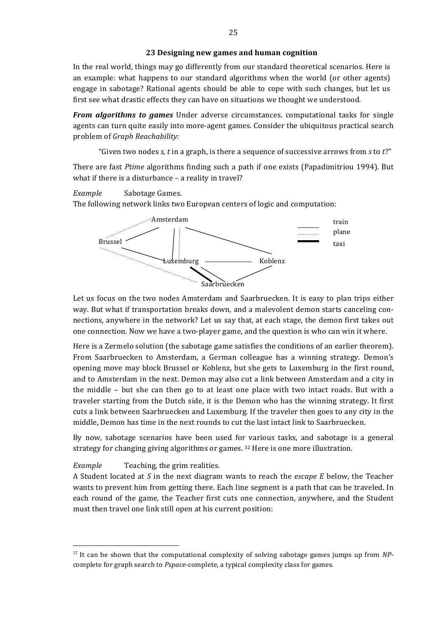In the real world, things may go differently from our standard theoretical scenarios. Here is an example: what happens to our standard algorithms when the world (or other agents) engage in sabotage? Rational agents should be able to cope with such changes, but let us first see what drastic effects they can have on situations we thought we understood.

*From algorithms to games* Under adverse circumstances. computational tasks for single agents can turn quite easily into more-agent games. Consider the ubiquitous practical search problem of *Graph Reachability:*

"Given two nodes  $s$ ,  $t$  in a graph, is there a sequence of successive arrows from  $s$  to  $t$ ?"

There are fast *Ptime* algorithms finding such a path if one exists (Papadimitriou 1994). But what if there is a disturbance  $-$  a reality in travel?

*Example* Sabotage Games.

The following network links two European centers of logic and computation:



Let us focus on the two nodes Amsterdam and Saarbruecken. It is easy to plan trips either way. But what if transportation breaks down, and a malevolent demon starts canceling connections, anywhere in the network? Let us say that, at each stage, the demon first takes out one connection. Now we have a two-player game, and the question is who can win it where.

Here is a Zermelo solution (the sabotage game satisfies the conditions of an earlier theorem). From Saarbruecken to Amsterdam, a German colleague has a winning strategy. Demon's opening move may block Brussel or Koblenz, but she gets to Luxemburg in the first round, and to Amsterdam in the next. Demon may also cut a link between Amsterdam and a city in the middle  $-$  but she can then go to at least one place with two intact roads. But with a traveler starting from the Dutch side, it is the Demon who has the winning strategy. It first cuts a link between Saarbruecken and Luxemburg. If the traveler then goes to any city in the middle. Demon has time in the next rounds to cut the last intact link to Saarbruecken.

By now, sabotage scenarios have been used for various tasks, and sabotage is a general strategy for changing giving algorithms or games. <sup>32</sup> Here is one more illustration.

### *Example* **Teaching, the grim realities.**

A Student located at S in the next diagram wants to reach the *escape* E below, the Teacher wants to prevent him from getting there. Each line segment is a path that can be traveled. In each round of the game, the Teacher first cuts one connection, anywhere, and the Student must then travel one link still open at his current position:

 $32$  It can be shown that the computational complexity of solving sabotage games jumps up from NPcomplete for graph search to *Pspace*-complete, a typical complexity class for games.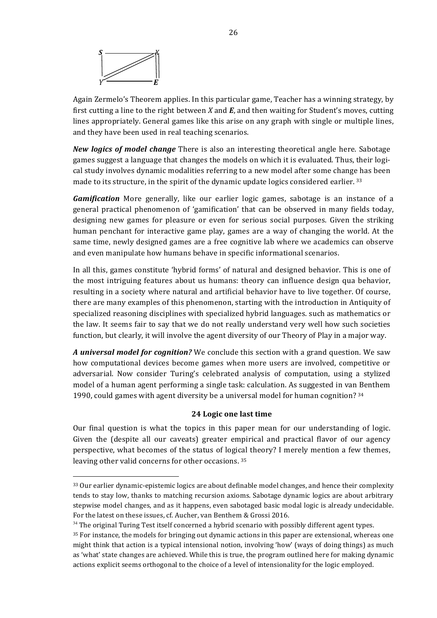

 $\overline{a}$ 

Again Zermelo's Theorem applies. In this particular game, Teacher has a winning strategy, by first cutting a line to the right between *X* and  $\vec{E}$ , and then waiting for Student's moves, cutting lines appropriately. General games like this arise on any graph with single or multiple lines, and they have been used in real teaching scenarios.

*New logics of model change* There is also an interesting theoretical angle here. Sabotage games suggest a language that changes the models on which it is evaluated. Thus, their logical study involves dynamic modalities referring to a new model after some change has been made to its structure, in the spirit of the dynamic update logics considered earlier.  $33$ 

*Gamification* More generally, like our earlier logic games, sabotage is an instance of a general practical phenomenon of 'gamification' that can be observed in many fields today, designing new games for pleasure or even for serious social purposes. Given the striking human penchant for interactive game play, games are a way of changing the world. At the same time, newly designed games are a free cognitive lab where we academics can observe and even manipulate how humans behave in specific informational scenarios.

In all this, games constitute 'hybrid forms' of natural and designed behavior. This is one of the most intriguing features about us humans: theory can influence design qua behavior, resulting in a society where natural and artificial behavior have to live together. Of course, there are many examples of this phenomenon, starting with the introduction in Antiquity of specialized reasoning disciplines with specialized hybrid languages. such as mathematics or the law. It seems fair to say that we do not really understand very well how such societies function, but clearly, it will involve the agent diversity of our Theory of Play in a major way.

A *universal model for cognition?* We conclude this section with a grand question. We saw how computational devices become games when more users are involved, competitive or adversarial. Now consider Turing's celebrated analysis of computation, using a stylized model of a human agent performing a single task: calculation. As suggested in van Benthem 1990, could games with agent diversity be a universal model for human cognition?  $34$ 

### **24 Logic one last time**

Our final question is what the topics in this paper mean for our understanding of logic. Given the (despite all our caveats) greater empirical and practical flavor of our agency perspective, what becomes of the status of logical theory? I merely mention a few themes, leaving other valid concerns for other occasions. 35

<sup>33</sup> Our earlier dynamic-epistemic logics are about definable model changes, and hence their complexity tends to stay low, thanks to matching recursion axioms. Sabotage dynamic logics are about arbitrary stepwise model changes, and as it happens, even sabotaged basic modal logic is already undecidable. For the latest on these issues, cf. Aucher, van Benthem & Grossi 2016.

 $34$  The original Turing Test itself concerned a hybrid scenario with possibly different agent types.

 $35$  For instance, the models for bringing out dynamic actions in this paper are extensional, whereas one might think that action is a typical intensional notion, involving 'how' (ways of doing things) as much as 'what' state changes are achieved. While this is true, the program outlined here for making dynamic actions explicit seems orthogonal to the choice of a level of intensionality for the logic employed.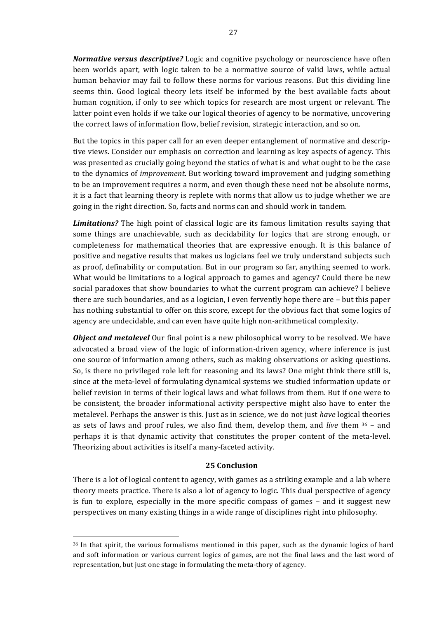**Normative versus descriptive?** Logic and cognitive psychology or neuroscience have often been worlds apart, with logic taken to be a normative source of valid laws, while actual human behavior may fail to follow these norms for various reasons. But this dividing line seems thin. Good logical theory lets itself be informed by the best available facts about human cognition, if only to see which topics for research are most urgent or relevant. The latter point even holds if we take our logical theories of agency to be normative, uncovering the correct laws of information flow, belief revision, strategic interaction, and so on.

But the topics in this paper call for an even deeper entanglement of normative and descriptive views. Consider our emphasis on correction and learning as key aspects of agency. This was presented as crucially going beyond the statics of what is and what ought to be the case to the dynamics of *improvement*. But working toward improvement and judging something to be an improvement requires a norm, and even though these need not be absolute norms, it is a fact that learning theory is replete with norms that allow us to judge whether we are going in the right direction. So, facts and norms can and should work in tandem.

*Limitations?* The high point of classical logic are its famous limitation results saying that some things are unachievable, such as decidability for logics that are strong enough, or completeness for mathematical theories that are expressive enough. It is this balance of positive and negative results that makes us logicians feel we truly understand subjects such as proof, definability or computation. But in our program so far, anything seemed to work. What would be limitations to a logical approach to games and agency? Could there be new social paradoxes that show boundaries to what the current program can achieve? I believe there are such boundaries, and as a logician, I even fervently hope there are - but this paper has nothing substantial to offer on this score, except for the obvious fact that some logics of agency are undecidable, and can even have quite high non-arithmetical complexity.

*Object and metalevel* Our final point is a new philosophical worry to be resolved. We have advocated a broad view of the logic of information-driven agency, where inference is just one source of information among others, such as making observations or asking questions. So, is there no privileged role left for reasoning and its laws? One might think there still is, since at the meta-level of formulating dynamical systems we studied information update or belief revision in terms of their logical laws and what follows from them. But if one were to be consistent, the broader informational activity perspective might also have to enter the metalevel. Perhaps the answer is this. Just as in science, we do not just *have* logical theories as sets of laws and proof rules, we also find them, develop them, and *live* them <sup>36</sup> – and perhaps it is that dynamic activity that constitutes the proper content of the meta-level. Theorizing about activities is itself a many-faceted activity.

### **25 Conclusion**

There is a lot of logical content to agency, with games as a striking example and a lab where theory meets practice. There is also a lot of agency to logic. This dual perspective of agency is fun to explore, especially in the more specific compass of games  $-$  and it suggest new perspectives on many existing things in a wide range of disciplines right into philosophy.

 $36$  In that spirit, the various formalisms mentioned in this paper, such as the dynamic logics of hard and soft information or various current logics of games, are not the final laws and the last word of representation, but just one stage in formulating the meta-thory of agency.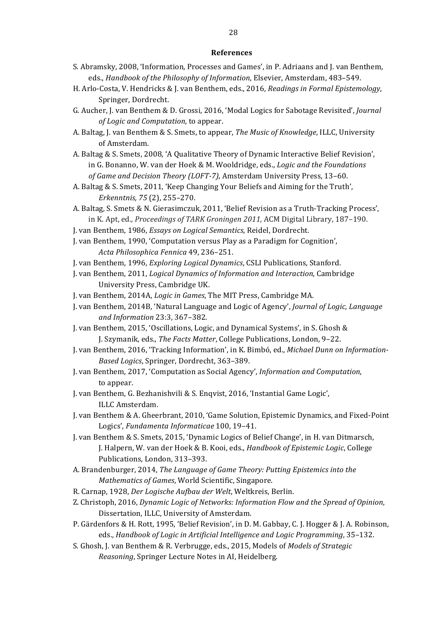#### **References**

- S. Abramsky, 2008, 'Information, Processes and Games', in P. Adriaans and J. van Benthem, eds., *Handbook of the Philosophy of Information*, Elsevier, Amsterdam, 483–549.
- H. Arlo-Costa, V. Hendricks & J. van Benthem, eds., 2016, *Readings in Formal Epistemology*, Springer, Dordrecht.
- G. Aucher, J. van Benthem & D. Grossi, 2016, 'Modal Logics for Sabotage Revisited', *Journal of Logic and Computation*, to appear.
- A. Baltag, J. van Benthem & S. Smets, to appear, *The Music of Knowledge*, ILLC, University of Amsterdam.
- A. Baltag & S. Smets, 2008, 'A Qualitative Theory of Dynamic Interactive Belief Revision', in G. Bonanno, W. van der Hoek & M. Wooldridge, eds., *Logic and the Foundations* of Game and Decision Theory (LOFT-7), Amsterdam University Press, 13-60.
- A. Baltag & S. Smets, 2011, 'Keep Changing Your Beliefs and Aiming for the Truth', *Erkenntnis, 75* (2), 255–270.

A. Baltag, S. Smets & N. Gierasimczuk, 2011, 'Belief Revision as a Truth-Tracking Process', in K. Apt, ed., *Proceedings of TARK Groningen 2011*, ACM Digital Library, 187-190.

- J. van Benthem, 1986, *Essays on Logical Semantics*, Reidel, Dordrecht.
- J. van Benthem, 1990, 'Computation versus Play as a Paradigm for Cognition', *Acta Philosophica Fennica* 49, 236–251.
- J. van Benthem, 1996, *Exploring Logical Dynamics*, CSLI Publications, Stanford.
- J. van Benthem, 2011, *Logical Dynamics of Information and Interaction*, Cambridge University Press, Cambridge UK.
- J. van Benthem, 2014A, *Logic in Games*, The MIT Press, Cambridge MA.
- J. van Benthem, 2014B, 'Natural Language and Logic of Agency', *Journal of Logic, Language and Information* 23:3, 367–382.
- J. van Benthem, 2015, 'Oscillations, Logic, and Dynamical Systems', in S. Ghosh & J. Szymanik, eds., *The Facts Matter*, College Publications, London, 9-22.
- J. van Benthem, 2016, 'Tracking Information', in K. Bimbó, ed., *Michael Dunn on Information-Based Logics*, Springer, Dordrecht, 363–389.
- J. van Benthem, 2017, 'Computation as Social Agency', *Information and Computation*, to appear.
- J. van Benthem, G. Bezhanishvili & S. Enqvist, 2016, 'Instantial Game Logic', ILLC Amsterdam.
- J. van Benthem & A. Gheerbrant, 2010, 'Game Solution, Epistemic Dynamics, and Fixed-Point Logics', *Fundamenta Informaticae* 100, 19-41.
- J. van Benthem & S. Smets, 2015, 'Dynamic Logics of Belief Change', in H. van Ditmarsch, J. Halpern, W. van der Hoek & B. Kooi, eds., *Handbook of Epistemic Logic*, College Publications, London, 313-393.
- A. Brandenburger, 2014, *The Language of Game Theory: Putting Epistemics into the Mathematics of Games*, World Scientific, Singapore.
- R. Carnap, 1928, *Der Logische Aufbau der Welt*, Weltkreis, Berlin.
- Z. Christoph, 2016, *Dynamic Logic of Networks: Information Flow and the Spread of Opinion*, Dissertation, ILLC, University of Amsterdam.
- P. Gärdenfors & H. Rott, 1995, 'Belief Revision', in D. M. Gabbay, C. J. Hogger & J. A. Robinson, eds., *Handbook of Logic in Artificial Intelligence and Logic Programming*, 35-132.
- S. Ghosh, J. van Benthem & R. Verbrugge, eds., 2015, Models of *Models of Strategic Reasoning*, Springer Lecture Notes in AI, Heidelberg.